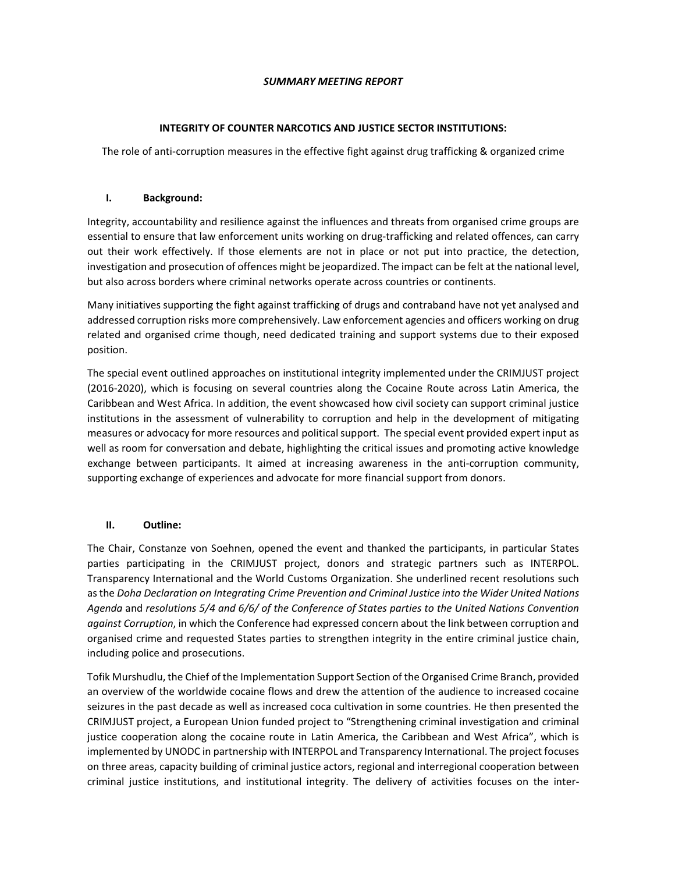## SUMMARY MEETING REPORT

## INTEGRITY OF COUNTER NARCOTICS AND JUSTICE SECTOR INSTITUTIONS:

The role of anti-corruption measures in the effective fight against drug trafficking & organized crime

## I. Background:

Integrity, accountability and resilience against the influences and threats from organised crime groups are essential to ensure that law enforcement units working on drug-trafficking and related offences, can carry out their work effectively. If those elements are not in place or not put into practice, the detection, investigation and prosecution of offences might be jeopardized. The impact can be felt at the national level, but also across borders where criminal networks operate across countries or continents.

Many initiatives supporting the fight against trafficking of drugs and contraband have not yet analysed and addressed corruption risks more comprehensively. Law enforcement agencies and officers working on drug related and organised crime though, need dedicated training and support systems due to their exposed position.

The special event outlined approaches on institutional integrity implemented under the CRIMJUST project (2016-2020), which is focusing on several countries along the Cocaine Route across Latin America, the Caribbean and West Africa. In addition, the event showcased how civil society can support criminal justice institutions in the assessment of vulnerability to corruption and help in the development of mitigating measures or advocacy for more resources and political support. The special event provided expert input as well as room for conversation and debate, highlighting the critical issues and promoting active knowledge exchange between participants. It aimed at increasing awareness in the anti-corruption community, supporting exchange of experiences and advocate for more financial support from donors.

## II. Outline:

The Chair, Constanze von Soehnen, opened the event and thanked the participants, in particular States parties participating in the CRIMJUST project, donors and strategic partners such as INTERPOL. Transparency International and the World Customs Organization. She underlined recent resolutions such as the Doha Declaration on Integrating Crime Prevention and Criminal Justice into the Wider United Nations Agenda and resolutions 5/4 and 6/6/ of the Conference of States parties to the United Nations Convention against Corruption, in which the Conference had expressed concern about the link between corruption and organised crime and requested States parties to strengthen integrity in the entire criminal justice chain, including police and prosecutions.

Tofik Murshudlu, the Chief of the Implementation Support Section of the Organised Crime Branch, provided an overview of the worldwide cocaine flows and drew the attention of the audience to increased cocaine seizures in the past decade as well as increased coca cultivation in some countries. He then presented the CRIMJUST project, a European Union funded project to "Strengthening criminal investigation and criminal justice cooperation along the cocaine route in Latin America, the Caribbean and West Africa", which is implemented by UNODC in partnership with INTERPOL and Transparency International. The project focuses on three areas, capacity building of criminal justice actors, regional and interregional cooperation between criminal justice institutions, and institutional integrity. The delivery of activities focuses on the inter-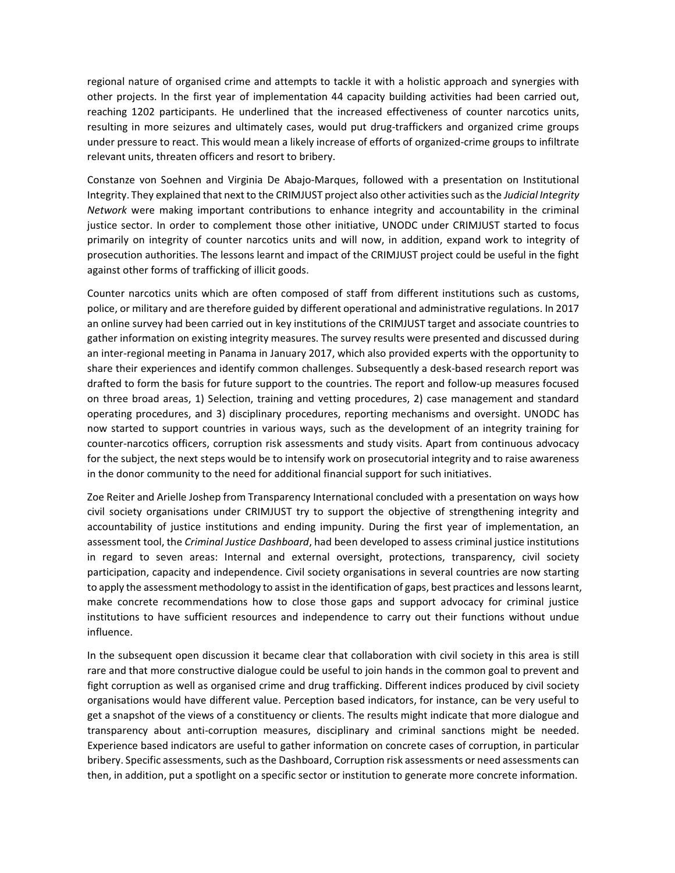regional nature of organised crime and attempts to tackle it with a holistic approach and synergies with other projects. In the first year of implementation 44 capacity building activities had been carried out, reaching 1202 participants. He underlined that the increased effectiveness of counter narcotics units, resulting in more seizures and ultimately cases, would put drug-traffickers and organized crime groups under pressure to react. This would mean a likely increase of efforts of organized-crime groups to infiltrate relevant units, threaten officers and resort to bribery.

Constanze von Soehnen and Virginia De Abajo-Marques, followed with a presentation on Institutional Integrity. They explained that next to the CRIMJUST project also other activities such as the Judicial Integrity Network were making important contributions to enhance integrity and accountability in the criminal justice sector. In order to complement those other initiative, UNODC under CRIMJUST started to focus primarily on integrity of counter narcotics units and will now, in addition, expand work to integrity of prosecution authorities. The lessons learnt and impact of the CRIMJUST project could be useful in the fight against other forms of trafficking of illicit goods.

Counter narcotics units which are often composed of staff from different institutions such as customs, police, or military and are therefore guided by different operational and administrative regulations. In 2017 an online survey had been carried out in key institutions of the CRIMJUST target and associate countries to gather information on existing integrity measures. The survey results were presented and discussed during an inter-regional meeting in Panama in January 2017, which also provided experts with the opportunity to share their experiences and identify common challenges. Subsequently a desk-based research report was drafted to form the basis for future support to the countries. The report and follow-up measures focused on three broad areas, 1) Selection, training and vetting procedures, 2) case management and standard operating procedures, and 3) disciplinary procedures, reporting mechanisms and oversight. UNODC has now started to support countries in various ways, such as the development of an integrity training for counter-narcotics officers, corruption risk assessments and study visits. Apart from continuous advocacy for the subject, the next steps would be to intensify work on prosecutorial integrity and to raise awareness in the donor community to the need for additional financial support for such initiatives.

Zoe Reiter and Arielle Joshep from Transparency International concluded with a presentation on ways how civil society organisations under CRIMJUST try to support the objective of strengthening integrity and accountability of justice institutions and ending impunity. During the first year of implementation, an assessment tool, the Criminal Justice Dashboard, had been developed to assess criminal justice institutions in regard to seven areas: Internal and external oversight, protections, transparency, civil society participation, capacity and independence. Civil society organisations in several countries are now starting to apply the assessment methodology to assist in the identification of gaps, best practices and lessons learnt, make concrete recommendations how to close those gaps and support advocacy for criminal justice institutions to have sufficient resources and independence to carry out their functions without undue influence.

In the subsequent open discussion it became clear that collaboration with civil society in this area is still rare and that more constructive dialogue could be useful to join hands in the common goal to prevent and fight corruption as well as organised crime and drug trafficking. Different indices produced by civil society organisations would have different value. Perception based indicators, for instance, can be very useful to get a snapshot of the views of a constituency or clients. The results might indicate that more dialogue and transparency about anti-corruption measures, disciplinary and criminal sanctions might be needed. Experience based indicators are useful to gather information on concrete cases of corruption, in particular bribery. Specific assessments, such as the Dashboard, Corruption risk assessments or need assessments can then, in addition, put a spotlight on a specific sector or institution to generate more concrete information.